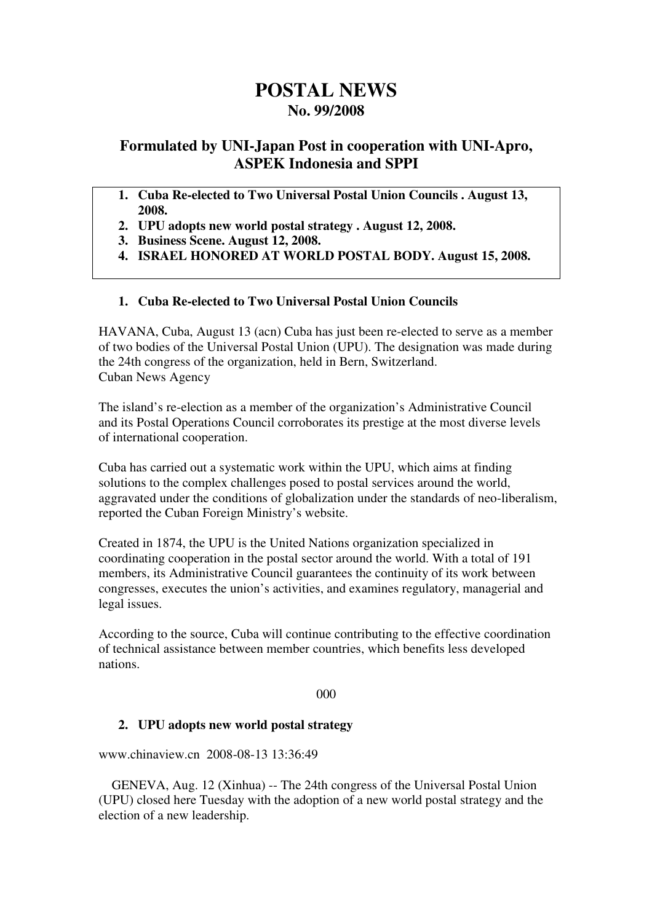# **POSTAL NEWS No. 99/2008**

## **Formulated by UNI-Japan Post in cooperation with UNI-Apro, ASPEK Indonesia and SPPI**

- **1. Cuba Re-elected to Two Universal Postal Union Councils . August 13, 2008.**
- **2. UPU adopts new world postal strategy . August 12, 2008.**
- **3. Business Scene. August 12, 2008.**
- **4. ISRAEL HONORED AT WORLD POSTAL BODY. August 15, 2008.**

#### **1. Cuba Re-elected to Two Universal Postal Union Councils**

HAVANA, Cuba, August 13 (acn) Cuba has just been re-elected to serve as a member of two bodies of the Universal Postal Union (UPU). The designation was made during the 24th congress of the organization, held in Bern, Switzerland. Cuban News Agency

The island's re-election as a member of the organization's Administrative Council and its Postal Operations Council corroborates its prestige at the most diverse levels of international cooperation.

Cuba has carried out a systematic work within the UPU, which aims at finding solutions to the complex challenges posed to postal services around the world, aggravated under the conditions of globalization under the standards of neo-liberalism, reported the Cuban Foreign Ministry's website.

Created in 1874, the UPU is the United Nations organization specialized in coordinating cooperation in the postal sector around the world. With a total of 191 members, its Administrative Council guarantees the continuity of its work between congresses, executes the union's activities, and examines regulatory, managerial and legal issues.

According to the source, Cuba will continue contributing to the effective coordination of technical assistance between member countries, which benefits less developed nations.

000

#### **2. UPU adopts new world postal strategy**

www.chinaview.cn 2008-08-13 13:36:49

 GENEVA, Aug. 12 (Xinhua) -- The 24th congress of the Universal Postal Union (UPU) closed here Tuesday with the adoption of a new world postal strategy and the election of a new leadership.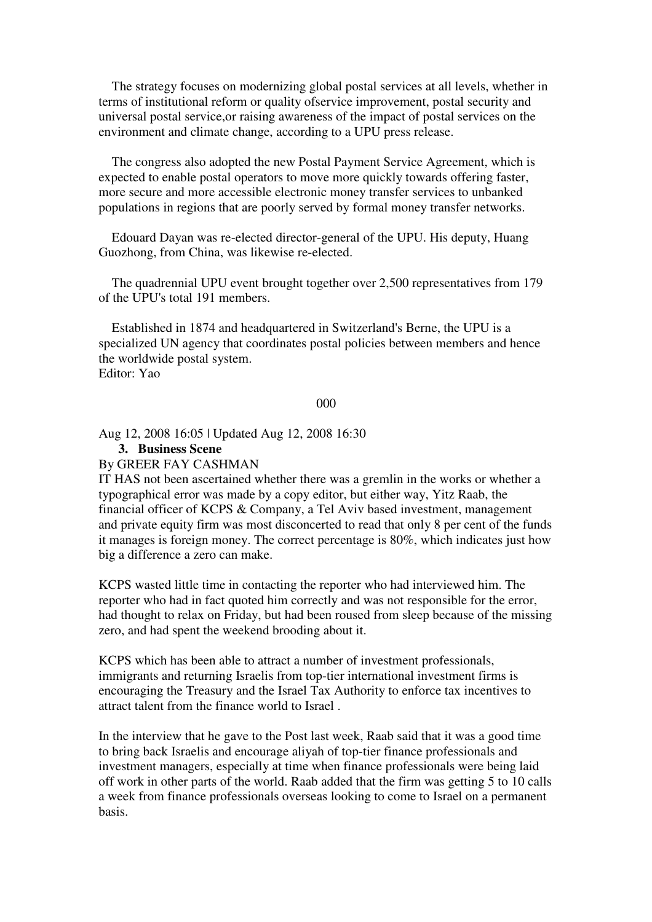The strategy focuses on modernizing global postal services at all levels, whether in terms of institutional reform or quality ofservice improvement, postal security and universal postal service,or raising awareness of the impact of postal services on the environment and climate change, according to a UPU press release.

 The congress also adopted the new Postal Payment Service Agreement, which is expected to enable postal operators to move more quickly towards offering faster, more secure and more accessible electronic money transfer services to unbanked populations in regions that are poorly served by formal money transfer networks.

 Edouard Dayan was re-elected director-general of the UPU. His deputy, Huang Guozhong, from China, was likewise re-elected.

 The quadrennial UPU event brought together over 2,500 representatives from 179 of the UPU's total 191 members.

 Established in 1874 and headquartered in Switzerland's Berne, the UPU is a specialized UN agency that coordinates postal policies between members and hence the worldwide postal system. Editor: Yao

000

Aug 12, 2008 16:05 | Updated Aug 12, 2008 16:30

### **3. Business Scene**

#### By GREER FAY CASHMAN

IT HAS not been ascertained whether there was a gremlin in the works or whether a typographical error was made by a copy editor, but either way, Yitz Raab, the financial officer of KCPS & Company, a Tel Aviv based investment, management and private equity firm was most disconcerted to read that only 8 per cent of the funds it manages is foreign money. The correct percentage is 80%, which indicates just how big a difference a zero can make.

KCPS wasted little time in contacting the reporter who had interviewed him. The reporter who had in fact quoted him correctly and was not responsible for the error, had thought to relax on Friday, but had been roused from sleep because of the missing zero, and had spent the weekend brooding about it.

KCPS which has been able to attract a number of investment professionals, immigrants and returning Israelis from top-tier international investment firms is encouraging the Treasury and the Israel Tax Authority to enforce tax incentives to attract talent from the finance world to Israel .

In the interview that he gave to the Post last week, Raab said that it was a good time to bring back Israelis and encourage aliyah of top-tier finance professionals and investment managers, especially at time when finance professionals were being laid off work in other parts of the world. Raab added that the firm was getting 5 to 10 calls a week from finance professionals overseas looking to come to Israel on a permanent basis.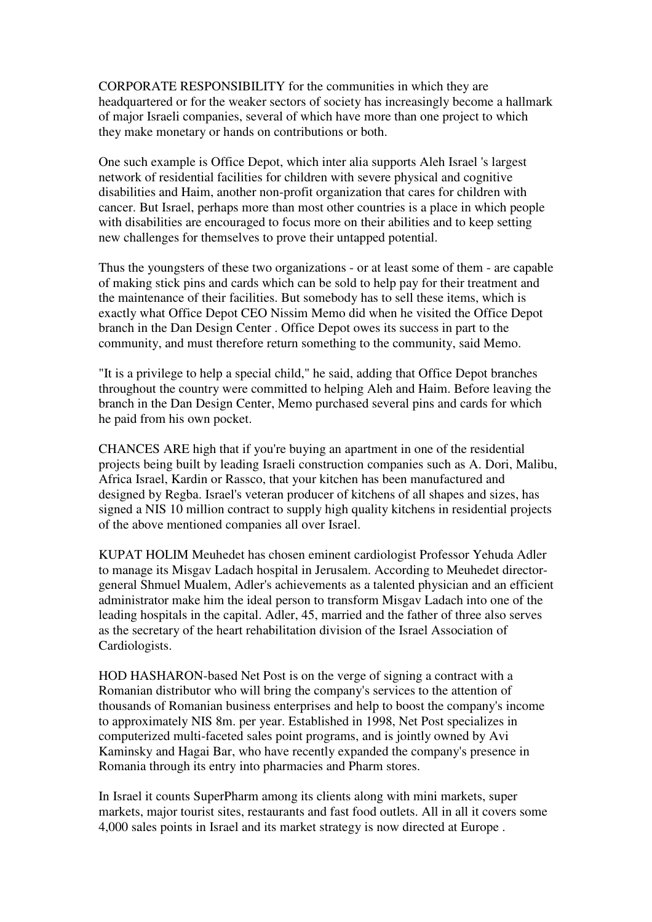CORPORATE RESPONSIBILITY for the communities in which they are headquartered or for the weaker sectors of society has increasingly become a hallmark of major Israeli companies, several of which have more than one project to which they make monetary or hands on contributions or both.

One such example is Office Depot, which inter alia supports Aleh Israel 's largest network of residential facilities for children with severe physical and cognitive disabilities and Haim, another non-profit organization that cares for children with cancer. But Israel, perhaps more than most other countries is a place in which people with disabilities are encouraged to focus more on their abilities and to keep setting new challenges for themselves to prove their untapped potential.

Thus the youngsters of these two organizations - or at least some of them - are capable of making stick pins and cards which can be sold to help pay for their treatment and the maintenance of their facilities. But somebody has to sell these items, which is exactly what Office Depot CEO Nissim Memo did when he visited the Office Depot branch in the Dan Design Center . Office Depot owes its success in part to the community, and must therefore return something to the community, said Memo.

"It is a privilege to help a special child," he said, adding that Office Depot branches throughout the country were committed to helping Aleh and Haim. Before leaving the branch in the Dan Design Center, Memo purchased several pins and cards for which he paid from his own pocket.

CHANCES ARE high that if you're buying an apartment in one of the residential projects being built by leading Israeli construction companies such as A. Dori, Malibu, Africa Israel, Kardin or Rassco, that your kitchen has been manufactured and designed by Regba. Israel's veteran producer of kitchens of all shapes and sizes, has signed a NIS 10 million contract to supply high quality kitchens in residential projects of the above mentioned companies all over Israel.

KUPAT HOLIM Meuhedet has chosen eminent cardiologist Professor Yehuda Adler to manage its Misgav Ladach hospital in Jerusalem. According to Meuhedet directorgeneral Shmuel Mualem, Adler's achievements as a talented physician and an efficient administrator make him the ideal person to transform Misgav Ladach into one of the leading hospitals in the capital. Adler, 45, married and the father of three also serves as the secretary of the heart rehabilitation division of the Israel Association of Cardiologists.

HOD HASHARON-based Net Post is on the verge of signing a contract with a Romanian distributor who will bring the company's services to the attention of thousands of Romanian business enterprises and help to boost the company's income to approximately NIS 8m. per year. Established in 1998, Net Post specializes in computerized multi-faceted sales point programs, and is jointly owned by Avi Kaminsky and Hagai Bar, who have recently expanded the company's presence in Romania through its entry into pharmacies and Pharm stores.

In Israel it counts SuperPharm among its clients along with mini markets, super markets, major tourist sites, restaurants and fast food outlets. All in all it covers some 4,000 sales points in Israel and its market strategy is now directed at Europe .